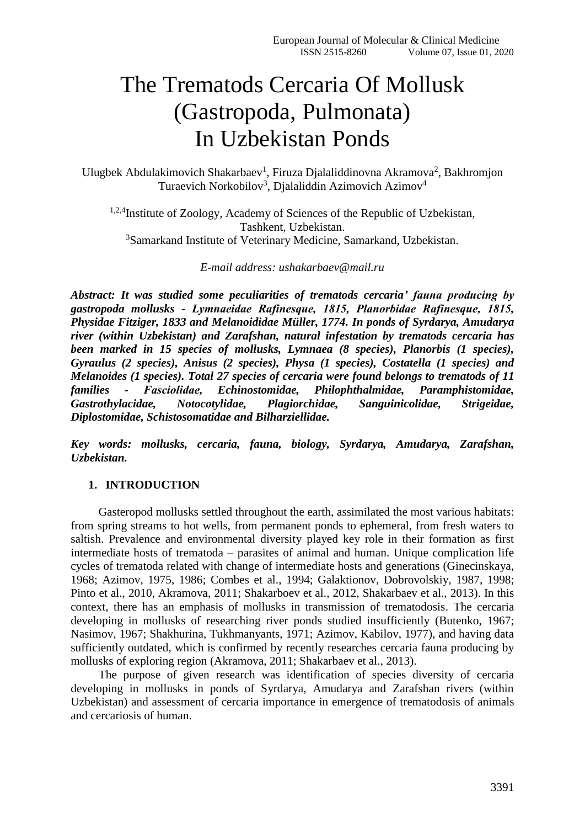# The Trematods Cercaria Of Mollusk (Gastropoda, Pulmonata) In Uzbekistan Ponds

Ulugbek Abdulakimovich Shakarbaev<sup>1</sup>, Firuza Djalaliddinovna Akramova<sup>2</sup>, Bakhromjon Turaevich Norkobilov<sup>3</sup>, Djalaliddin Azimovich Azimov<sup>4</sup>

1,2,4Institute of Zoology, Academy of Sciences of the Republic of Uzbekistan, Tashkent, Uzbekistan. <sup>3</sup>Samarkand Institute of Veterinary Medicine, Samarkand, Uzbekistan.

*E-mail address: [ushakarbaev@mail.ru](mailto:ushakarbaev@mail.ru)*

*Abstract: It was studied some peculiarities of trematods cercaria' fauna producing by gastropoda mollusks - Lymnaeidae Rafinesque, 1815, Plаnorbidae Rafinesque, 1815, Physidae Fitziger, 1833 and Melanoididae Müller, 1774. In ponds of Syrdarya, Amudarya river (within Uzbekistan) and Zarafshan, natural infestation by trematods cercaria has been marked in 15 species of mollusks, Lymnaea (8 species), Planorbis (1 species), Gyraulus (2 species), Anisus (2 species), Physa (1 species), Costatella (1 species) and Melanoides (1 species). Total 27 species of cercaria were found belongs to trematods of 11 families - Fasсiolidae, Echinostomidae, Philophthalmidae, Paramphistomidae, Gastrothylacidae, Notocotylidae, Plagiorchidae, Sanguinicolidae, Strigeidae, Diplostomidae, Schistosomatidae and Bilharziellidae.* 

*Key words: mollusks, cercaria, fauna, biology, Syrdarya, Amudarya, Zarafshan, Uzbekistan.*

# **1. INTRODUCTION**

Gasteropod mollusks settled throughout the earth, assimilated the most various habitats: from spring streams to hot wells, from permanent ponds to ephemeral, from fresh waters to saltish. Prevalence and environmental diversity played key role in their formation as first intermediate hosts of trematoda – parasites of animal and human. Unique complication life cycles of trematoda related with change of intermediate hosts and generations (Ginecinskaya, 1968; Azimov, 1975, 1986; Combes et al., 1994; Galaktionov, Dobrovolskiy, 1987, 1998; Pinto et al., 2010, Akramova, 2011; Shakarboev et al., 2012, Shakarbaev et al., 2013). In this context, there has an emphasis of mollusks in transmission of trematodosis. The cercaria developing in mollusks of researching river ponds studied insufficiently (Butenko, 1967; Nasimov, 1967; Shakhurina, Tukhmanyants, 1971; Azimov, Kabilov, 1977), and having data sufficiently outdated, which is confirmed by recently researches cercaria fauna producing by mollusks of exploring region (Akramova, 2011; Shakarbaev et al., 2013).

The purpose of given research was identification of species diversity of cercaria developing in mollusks in ponds of Syrdarya, Amudarya and Zarafshan rivers (within Uzbekistan) and assessment of cercaria importance in emergence of trematodosis of animals and cercariosis of human.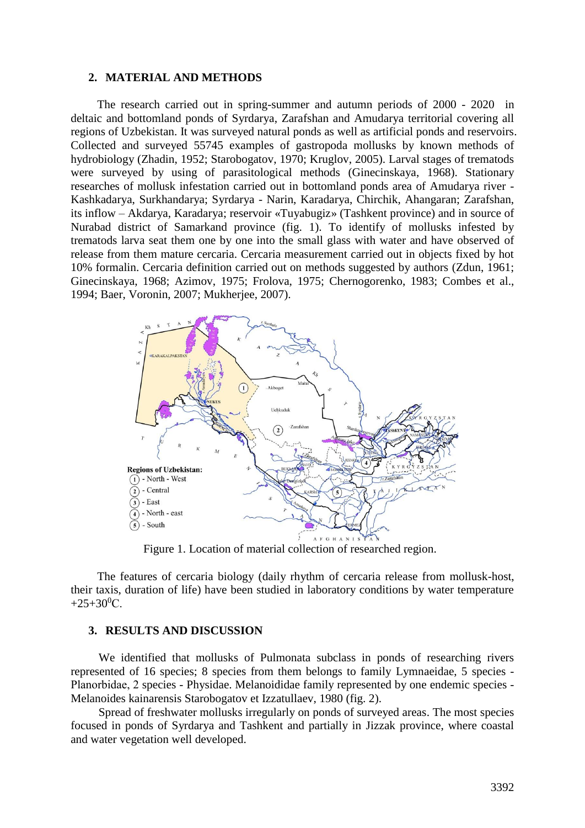#### **2. MATERIAL AND METHODS**

The research carried out in spring-summer and autumn periods of 2000 - 2020 in deltaic and bottomland ponds of Syrdarya, Zarafshan and Amudarya territorial covering all regions of Uzbekistan. It was surveyed natural ponds as well as artificial ponds and reservoirs. Collected and surveyed 55745 examples of gastropoda mollusks by known methods of hydrobiology (Zhadin, 1952; Starobogatov, 1970; Kruglov, 2005). Larval stages of trematods were surveyed by using of parasitological methods (Ginecinskaya, 1968). Stationary researches of mollusk infestation carried out in bottomland ponds area of Amudarya river - Kashkadarya, Surkhandarya; Syrdarya - Narin, Karadarya, Chirchik, Ahangaran; Zarafshan, its inflow – Akdarya, Karadarya; reservoir «Tuyabugiz» (Tashkent province) and in source of Nurabad district of Samarkand province (fig. 1). To identify of mollusks infested by trematods larva seat them one by one into the small glass with water and have observed of release from them mature cercaria. Cercaria measurement carried out in objects fixed by hot 10% formalin. Cercaria definition carried out on methods suggested by authors (Zdun, 1961; Ginecinskaya, 1968; Azimov, 1975; Frolova, 1975; Chernogorenko, 1983; Combes et al., 1994; Baer, Voronin, 2007; Mukherjee, 2007).



Figure 1. Location of material collection of researched region.

The features of cercaria biology (daily rhythm of cercaria release from mollusk-host, their taxis, duration of life) have been studied in laboratory conditions by water temperature  $+25+30$ <sup>0</sup>C.

### **3. RESULTS AND DISCUSSION**

We identified that mollusks of Pulmonata subclass in ponds of researching rivers represented of 16 species; 8 species from them belongs to family Lymnaeidae, 5 species - Plаnorbidae, 2 species - Physidae. Melanoididae family represented by one endemic species - Melanoides kainarensis Starobogatov et Izzatullaev, 1980 (fig. 2).

Spread of freshwater mollusks irregularly on ponds of surveyed areas. The most species focused in ponds of Syrdarya and Tashkent and partially in Jizzak province, where coastal and water vegetation well developed.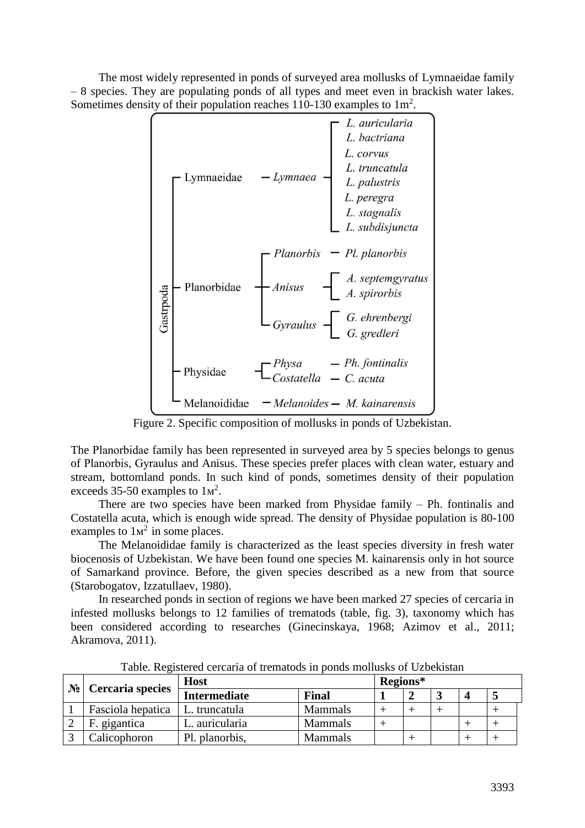The most widely represented in ponds of surveyed area mollusks of Lymnaeidae family – 8 species. They are populating ponds of all types and meet even in brackish water lakes. Sometimes density of their population reaches 110-130 examples to  $1\,\mathrm{m}^2$ .



Figure 2. Specific composition of mollusks in ponds of Uzbekistan.

The Plаnorbidae family has been represented in surveyed area by 5 species belongs to genus of Plаnorbis, Gyraulus and Anisus. These species prefer places with clean water, estuary and stream, bottomland ponds. In such kind of ponds, sometimes density of their population exceeds 35-50 examples to  $1<sup>2</sup>$ .

There are two species have been marked from Physidae family – Ph. fontinalis and Costatella acuta, which is enough wide spread. The density of Physidae population is 80-100 examples to  $1<sup>2</sup>$  in some places.

The Melanoididae family is characterized as the least species diversity in fresh water biocenosis of Uzbekistan. We have been found one species M. kainarensis only in hot source of Samarkand province. Before, the given species described as a new from that source (Starobogatov, Izzatullaev, 1980).

In researched ponds in section of regions we have been marked 27 species of cercaria in infested mollusks belongs to 12 families of trematods (table, fig. 3), taxonomy which has been considered according to researches (Ginecinskaya, 1968; Azimov et al., 2011; Akramova, 2011).

| $\mathbf{N}_{\mathbf{2}}$ Cercaria species | <b>Host</b>         |                | Regions* |  |  |  |  |  |
|--------------------------------------------|---------------------|----------------|----------|--|--|--|--|--|
|                                            | <b>Intermediate</b> | Final          |          |  |  |  |  |  |
| Fasciola hepatica                          | L. truncatula       | <b>Mammals</b> |          |  |  |  |  |  |
| F. gigantica                               | L. auricularia      | <b>Mammals</b> |          |  |  |  |  |  |
| Calicophoron                               | Pl. planorbis,      | Mammals        |          |  |  |  |  |  |

Table. Registered cercaria of trematods in ponds mollusks of Uzbekistan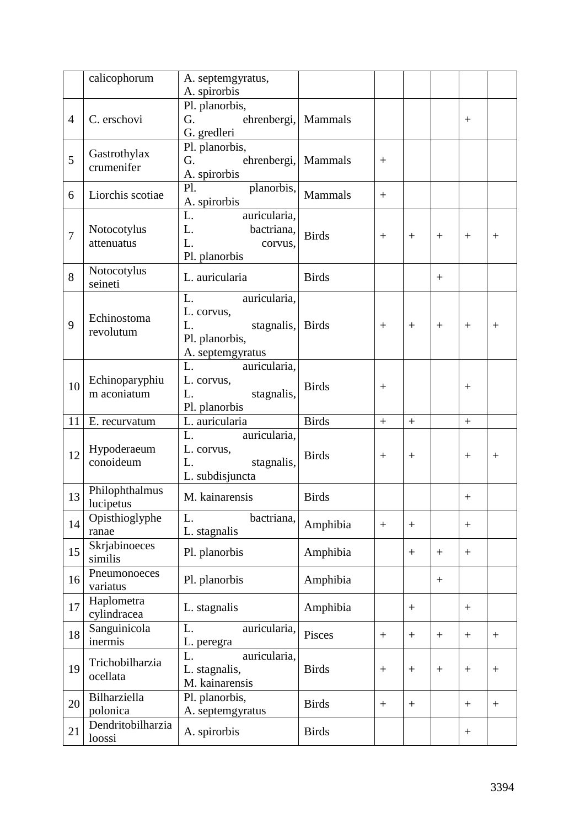|                | calicophorum                  | A. septemgyratus,<br>A. spirorbis                                                                |              |        |        |                  |        |        |
|----------------|-------------------------------|--------------------------------------------------------------------------------------------------|--------------|--------|--------|------------------|--------|--------|
| $\overline{4}$ | C. erschovi                   | Pl. planorbis,<br>G.<br>ehrenbergi, Mammals<br>G. gredleri                                       |              |        |        |                  | $^{+}$ |        |
| 5              | Gastrothylax<br>crumenifer    | Pl. planorbis,<br>G.<br>ehrenbergi,<br>A. spirorbis                                              | Mammals      | $^{+}$ |        |                  |        |        |
| 6              | Liorchis scotiae              | planorbis,<br>$\mathbf{Pl}$ .<br>A. spirorbis                                                    | Mammals      | $+$    |        |                  |        |        |
| $\overline{7}$ | Notocotylus<br>attenuatus     | L.<br>auricularia,<br>L. bactriana,<br>L.<br>corvus,<br>Pl. planorbis                            | <b>Birds</b> | $+$    | $+$    | $^{+}$           | $^{+}$ | $^{+}$ |
| 8              | Notocotylus<br>seineti        | L. auricularia                                                                                   | <b>Birds</b> |        |        | $\boldsymbol{+}$ |        |        |
| 9              | Echinostoma<br>revolutum      | L.<br>auricularia,<br>L. corvus,<br>stagnalis, Birds<br>L.<br>Pl. planorbis,<br>A. septemgyratus |              | $^{+}$ | $+$    | $^{+}$           | $^{+}$ | $^{+}$ |
| 10             | Echinoparyphiu<br>m aconiatum | L. auricularia,<br>L. corvus,<br>stagnalis,<br>L.<br>Pl. planorbis                               | <b>Birds</b> | $^{+}$ |        |                  | $^{+}$ |        |
| 11             | E. recurvatum                 | L. auricularia                                                                                   | <b>Birds</b> | $+$    | $+$    |                  | $+$    |        |
| 12             | Hypoderaeum<br>conoideum      | auricularia,<br>L.<br>L. corvus,<br>L.<br>stagnalis,<br>L. subdisjuncta                          | <b>Birds</b> | $^{+}$ |        |                  | $^{+}$ | $^{+}$ |
| 13             | Philophthalmus<br>lucipetus   | M. kainarensis                                                                                   | <b>Birds</b> |        |        |                  | $^{+}$ |        |
| 14             | Opisthioglyphe<br>ranae       | bactriana,<br>L.<br>L. stagnalis                                                                 | Amphibia     | $+$    | $^{+}$ |                  | $^{+}$ |        |
| 15             | Skrjabinoeces<br>similis      | Pl. planorbis                                                                                    | Amphibia     |        | $+$    |                  | $+$    |        |
| 16             | Pneumonoeces<br>variatus      | Pl. planorbis                                                                                    | Amphibia     |        |        | $\boldsymbol{+}$ |        |        |
| 17             | Haplometra<br>cylindracea     | L. stagnalis                                                                                     | Amphibia     |        | $^{+}$ |                  | $^{+}$ |        |
| 18             | Sanguinicola<br>inermis       | auricularia,<br>L.<br>L. peregra                                                                 | Pisces       | $^{+}$ | $+$    |                  | $^{+}$ | $+$    |
| 19             | Trichobilharzia<br>ocellata   | auricularia,<br>L.<br>L. stagnalis,<br>M. kainarensis                                            | <b>Birds</b> | $^{+}$ | $^{+}$ | $+$              | $^{+}$ | $+$    |
| 20             | Bilharziella<br>polonica      | Pl. planorbis,<br>A. septemgyratus                                                               | <b>Birds</b> | $+$    |        |                  | $+$    | $+$    |
| 21             | Dendritobilharzia<br>loossi   | A. spirorbis                                                                                     | <b>Birds</b> |        |        |                  | $^{+}$ |        |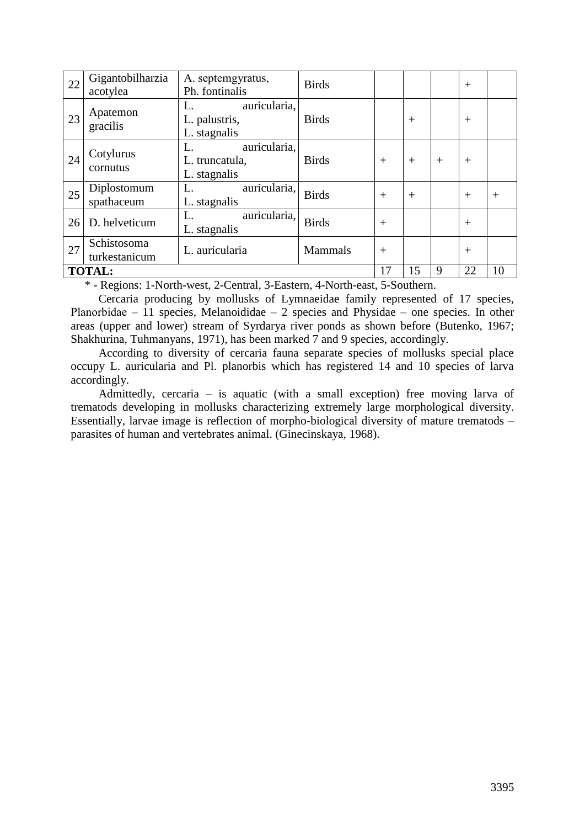| 22                                                                                     | Gigantobilharzia<br>acotylea | A. septemgyratus,<br>Ph. fontinalis                  | <b>Birds</b>   |     |        |        | $^{+}$ |        |
|----------------------------------------------------------------------------------------|------------------------------|------------------------------------------------------|----------------|-----|--------|--------|--------|--------|
| 23                                                                                     | Apatemon<br>gracilis         | auricularia,<br>L.<br>L. palustris,<br>L. stagnalis  | <b>Birds</b>   |     | $^{+}$ |        | $^{+}$ |        |
| 24                                                                                     | Cotylurus<br>cornutus        | auricularia,<br>L.<br>L. truncatula,<br>L. stagnalis | <b>Birds</b>   | $+$ | $^{+}$ | $^{+}$ | $^{+}$ |        |
| 25                                                                                     | Diplostomum<br>spathaceum    | auricularia,<br>L.<br>L. stagnalis                   | <b>Birds</b>   | $+$ | $+$    |        | $^{+}$ | $^{+}$ |
| 26                                                                                     | D. helveticum                | auricularia,<br>L.<br>L. stagnalis                   | <b>Birds</b>   | $+$ |        |        | $^{+}$ |        |
| 27                                                                                     | Schistosoma<br>turkestanicum | L. auricularia                                       | <b>Mammals</b> | $+$ |        |        | $^{+}$ |        |
| <b>TOTAL:</b><br>$*$ Designant Mautherman 2 Control 2 Eastern 4 Mautherman 5 Conthorne |                              |                                                      | 17             | 15  | 9      | 22     | 10     |        |

\* - Regions: 1-North-west, 2-Central, 3-Eastern, 4-North-east, 5-Southern.

Cercaria producing by mollusks of Lymnaeidae family represented of 17 species, Planorbidae – 11 species, Melanoididae – 2 species and Physidae – one species. In other areas (upper and lower) stream of Syrdarya river ponds as shown before (Butenko, 1967; Shakhurina, Tuhmanyans, 1971), has been marked 7 and 9 species, accordingly.

According to diversity of cercaria fauna separate species of mollusks special place occupy L. auricularia and Pl. planorbis which has registered 14 and 10 species of larva accordingly.

Admittedly, cercaria – is aquatic (with a small exception) free moving larva of trematods developing in mollusks characterizing extremely large morphological diversity. Essentially, larvae image is reflection of morpho-biological diversity of mature trematods – parasites of human and vertebrates animal. (Ginecinskaya, 1968).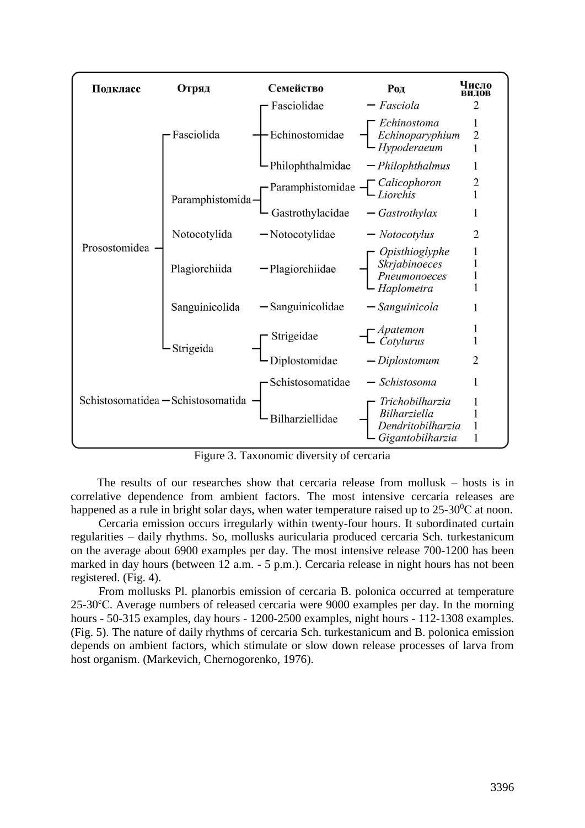

Figure 3. Taxonomic diversity of cercaria

The results of our researches show that cercaria release from mollusk – hosts is in correlative dependence from ambient factors. The most intensive cercaria releases are happened as a rule in bright solar days, when water temperature raised up to  $25\text{-}30\text{°C}$  at noon.

Cercaria emission occurs irregularly within twenty-four hours. It subordinated curtain regularities – daily rhythms. So, mollusks auricularia produced cercaria Sch. turkestanicum on the average about 6900 examples per day. The most intensive release 700-1200 has been marked in day hours (between 12 a.m. - 5 p.m.). Cercaria release in night hours has not been registered. (Fig. 4).

From mollusks Pl. planorbis emission of cercaria B. polonica occurred at temperature 25-30<sup>с</sup>С. Average numbers of released cercaria were 9000 examples per day. In the morning hours - 50-315 examples, day hours - 1200-2500 examples, night hours - 112-1308 examples. (Fig. 5). The nature of daily rhythms of cercaria Sch. turkestanicum and B. polonica emission depends on ambient factors, which stimulate or slow down release processes of larva from host organism. (Markevich, Chernogorenko, 1976).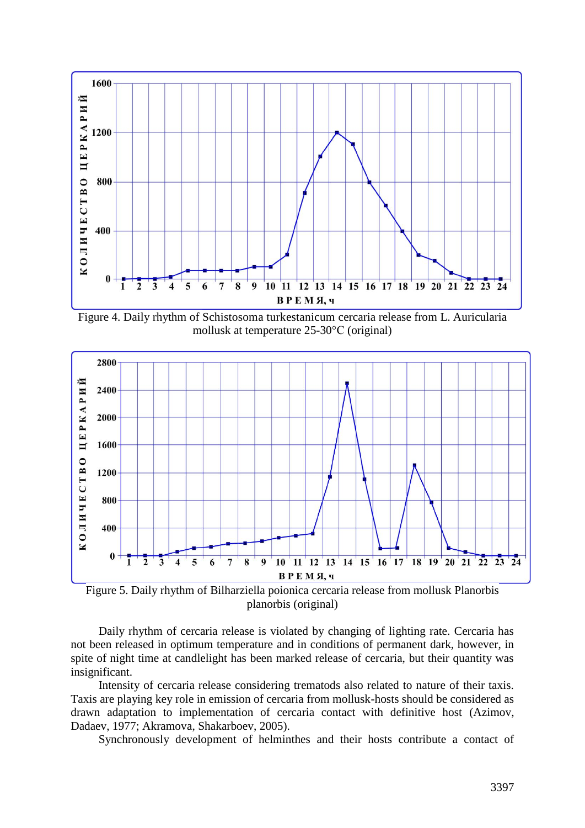

Figure 4. Daily rhythm of Schistosoma turkestanicum cercaria release from L. Auricularia mollusk at temperature 25-30°С (original)



Figure 5. Daily rhythm of Bilharziella poionica cercaria release from mollusk Planorbis planorbis (original)

Daily rhythm of cercaria release is violated by changing of lighting rate. Cercaria has not been released in optimum temperature and in conditions of permanent dark, however, in spite of night time at candlelight has been marked release of cercaria, but their quantity was insignificant.

Intensity of cercaria release considering trematods also related to nature of their taxis. Taxis are playing key role in emission of cercaria from mollusk-hosts should be considered as drawn adaptation to implementation of cercaria contact with definitive host (Azimov, Dadaev, 1977; Akramova, Shakarboev, 2005).

Synchronously development of helminthes and their hosts contribute a contact of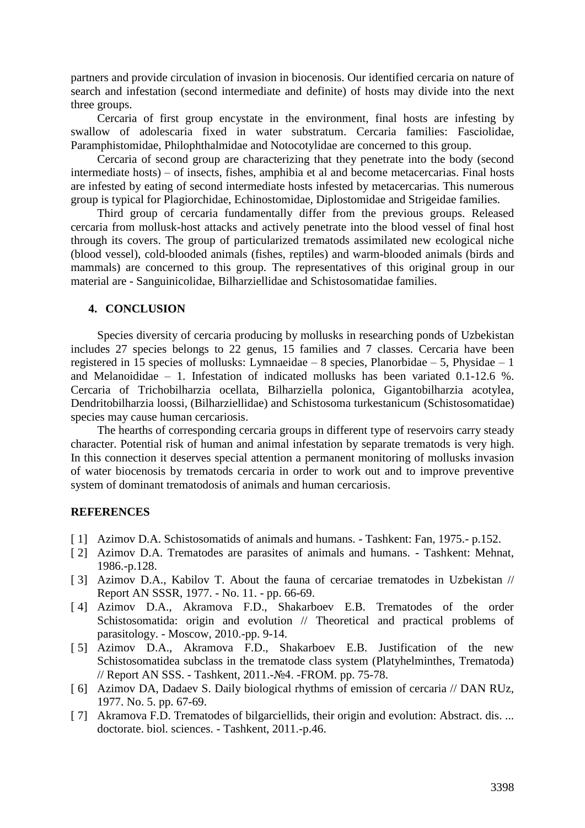partners and provide circulation of invasion in biocenosis. Our identified cercaria on nature of search and infestation (second intermediate and definite) of hosts may divide into the next three groups.

Cercaria of first group encystate in the environment, final hosts are infesting by swallow of adolescaria fixed in water substratum. Cercaria families: Fasсiolidae, Paramphistomidae, Philophthalmidae and Notocotylidae are concerned to this group.

Cercaria of second group are characterizing that they penetrate into the body (second intermediate hosts) – of insects, fishes, amphibia et al and become metacercarias. Final hosts are infested by eating of second intermediate hosts infested by metacercarias. This numerous group is typical for Plagiorchidae, Echinostomidae, Diplostomidae and Strigeidae families.

Third group of cercaria fundamentally differ from the previous groups. Released cercaria from mollusk-host attacks and actively penetrate into the blood vessel of final host through its covers. The group of particularized trematods assimilated new ecological niche (blood vessel), cold-blooded animals (fishes, reptiles) and warm-blooded animals (birds and mammals) are concerned to this group. The representatives of this original group in our material are - Sanguinicolidae, Bilharziellidae and Schistosomatidae families.

# **4. CONCLUSION**

Species diversity of cercaria producing by mollusks in researching ponds of Uzbekistan includes 27 species belongs to 22 genus, 15 families and 7 classes. Cercaria have been registered in 15 species of mollusks: Lymnaeidae – 8 species, Plаnorbidae – 5, Physidae – 1 and Melanoididae – 1. Infestation of indicated mollusks has been variated 0.1-12.6 %. Cercaria of Trichobilharzia ocellata, Bilharziella polonica, Gigantobilharzia acotylea, Dendritobilharzia loossi, (Bilharziellidae) and Schistosoma turkestanicum (Schistosomatidae) species may cause human cercariosis.

The hearths of corresponding cercaria groups in different type of reservoirs carry steady character. Potential risk of human and animal infestation by separate trematods is very high. In this connection it deserves special attention a permanent monitoring of mollusks invasion of water biocenosis by trematods cercaria in order to work out and to improve preventive system of dominant trematodosis of animals and human cercariosis.

# **REFERENCES**

- [ 1] Azimov D.A. Schistosomatids of animals and humans. Tashkent: Fan, 1975.- p.152.
- [ 2] Azimov D.A. Trematodes are parasites of animals and humans. Tashkent: Mehnat, 1986.-p.128.
- [ 3] Azimov D.A., Kabilov T. About the fauna of cercariae trematodes in Uzbekistan // Report AN SSSR, 1977. - No. 11. - pp. 66-69.
- [ 4] Azimov D.A., Akramova F.D., Shakarboev E.B. Trematodes of the order Schistosomatida: origin and evolution // Theoretical and practical problems of parasitology. - Moscow, 2010.-pp. 9-14.
- [ 5] Azimov D.A., Akramova F.D., Shakarboev E.B. Justification of the new Schistosomatidea subclass in the trematode class system (Platyhelminthes, Trematoda) // Report AN SSS. - Tashkent, 2011.-№4. -FROM. pp. 75-78.
- [ 6] Azimov DA, Dadaev S. Daily biological rhythms of emission of cercaria // DAN RUz, 1977. No. 5. pp. 67-69.
- [ 7] Akramova F.D. Trematodes of bilgarciellids, their origin and evolution: Abstract. dis. ... doctorate. biol. sciences. - Tashkent, 2011.-p.46.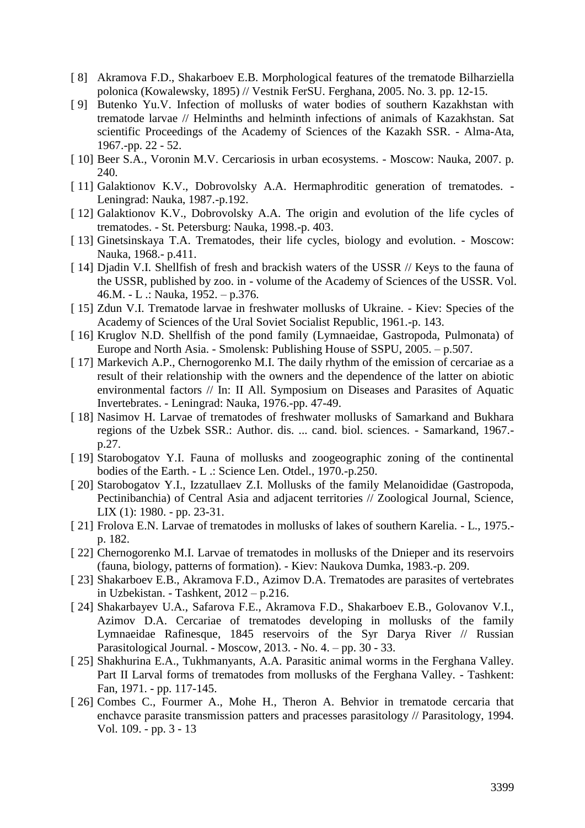- [ 8] Akramova F.D., Shakarboev E.B. Morphological features of the trematode Bilharziella polonica (Kowalewsky, 1895) // Vestnik FerSU. Ferghana, 2005. No. 3. pp. 12-15.
- [ 9] Butenko Yu.V. Infection of mollusks of water bodies of southern Kazakhstan with trematode larvae // Helminths and helminth infections of animals of Kazakhstan. Sat scientific Proceedings of the Academy of Sciences of the Kazakh SSR. - Alma-Ata, 1967.-pp. 22 - 52.
- [ 10] Beer S.A., Voronin M.V. Cercariosis in urban ecosystems. Moscow: Nauka, 2007. p. 240.
- [ 11] Galaktionov K.V., Dobrovolsky A.A. Hermaphroditic generation of trematodes. Leningrad: Nauka, 1987.-p.192.
- [12] Galaktionov K.V., Dobrovolsky A.A. The origin and evolution of the life cycles of trematodes. - St. Petersburg: Nauka, 1998.-p. 403.
- [ 13] Ginetsinskaya T.A. Trematodes, their life cycles, biology and evolution. Moscow: Nauka, 1968.- p.411.
- [ 14] Djadin V.I. Shellfish of fresh and brackish waters of the USSR // Keys to the fauna of the USSR, published by zoo. in - volume of the Academy of Sciences of the USSR. Vol. 46.M. - L .: Nauka, 1952. – p.376.
- [ 15] Zdun V.I. Trematode larvae in freshwater mollusks of Ukraine. Kiev: Species of the Academy of Sciences of the Ural Soviet Socialist Republic, 1961.-p. 143.
- [ 16] Kruglov N.D. Shellfish of the pond family (Lymnaeidae, Gastropoda, Pulmonata) of Europe and North Asia. - Smolensk: Publishing House of SSPU, 2005. – p.507.
- [ 17] Markevich A.P., Chernogorenko M.I. The daily rhythm of the emission of cercariae as a result of their relationship with the owners and the dependence of the latter on abiotic environmental factors // In: II All. Symposium on Diseases and Parasites of Aquatic Invertebrates. - Leningrad: Nauka, 1976.-pp. 47-49.
- [ 18] Nasimov H. Larvae of trematodes of freshwater mollusks of Samarkand and Bukhara regions of the Uzbek SSR.: Author. dis. ... cand. biol. sciences. - Samarkand, 1967. p.27.
- [ 19] Starobogatov Y.I. Fauna of mollusks and zoogeographic zoning of the continental bodies of the Earth. - L .: Science Len. Otdel., 1970.-p.250.
- [ 20] Starobogatov Y.I., Izzatullaev Z.I. Mollusks of the family Melanoididae (Gastropoda, Pectinibanchia) of Central Asia and adjacent territories // Zoological Journal, Science, LIX (1): 1980. - pp. 23-31.
- [ 21] Frolova E.N. Larvae of trematodes in mollusks of lakes of southern Karelia. L., 1975.p. 182.
- [ 22] Chernogorenko M.I. Larvae of trematodes in mollusks of the Dnieper and its reservoirs (fauna, biology, patterns of formation). - Kiev: Naukova Dumka, 1983.-p. 209.
- [ 23] Shakarboev E.B., Akramova F.D., Azimov D.A. Trematodes are parasites of vertebrates in Uzbekistan. - Tashkent, 2012 – p.216.
- [ 24] Shakarbayev U.A., Safarova F.E., Akramova F.D., Shakarboev E.B., Golovanov V.I., Azimov D.A. Cercariae of trematodes developing in mollusks of the family Lymnaeidae Rafinesque, 1845 reservoirs of the Syr Darya River // Russian Parasitological Journal. - Moscow, 2013. - No. 4. – pp. 30 - 33.
- [ 25] Shakhurina E.A., Tukhmanyants, A.A. Parasitic animal worms in the Ferghana Valley. Part II Larval forms of trematodes from mollusks of the Ferghana Valley. - Tashkent: Fan, 1971. - pp. 117-145.
- [ 26] Combes C., Fourmer A., Mohe H., Theron A. Behvior in trematode cercaria that enchavce parasite transmission patters and pracesses parasitology // Parasitology, 1994. Vol. 109. - pp. 3 - 13